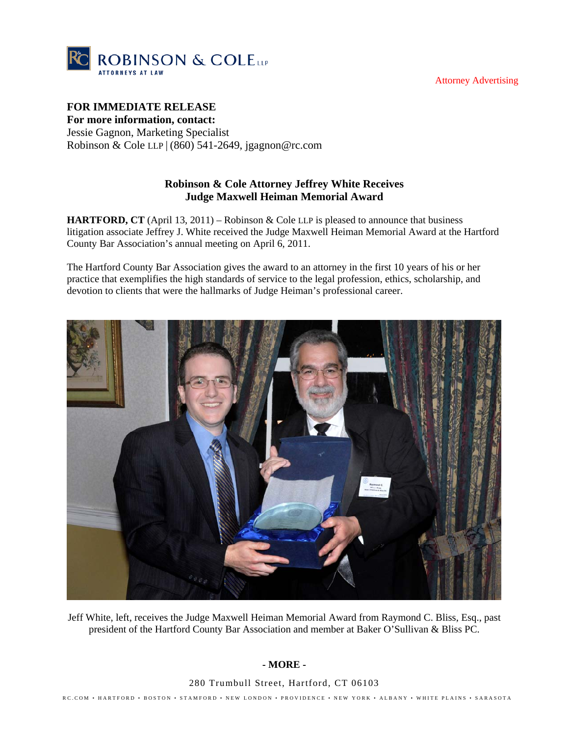Attorney Advertising



## **FOR IMMEDIATE RELEASE**

**For more information, contact:**  Jessie Gagnon, Marketing Specialist Robinson & Cole LLP | (860) 541-2649, jgagnon@rc.com

## **Robinson & Cole Attorney Jeffrey White Receives Judge Maxwell Heiman Memorial Award**

**HARTFORD, CT** (April 13, 2011) – Robinson & Cole LLP is pleased to announce that business litigation associate Jeffrey J. White received the Judge Maxwell Heiman Memorial Award at the Hartford County Bar Association's annual meeting on April 6, 2011.

The Hartford County Bar Association gives the award to an attorney in the first 10 years of his or her practice that exemplifies the high standards of service to the legal profession, ethics, scholarship, and devotion to clients that were the hallmarks of Judge Heiman's professional career.



Jeff White, left, receives the Judge Maxwell Heiman Memorial Award from Raymond C. Bliss, Esq., past president of the Hartford County Bar Association and member at Baker O'Sullivan & Bliss PC.

## **- MORE -**

280 Trumbull Street, Hartford, CT 06103